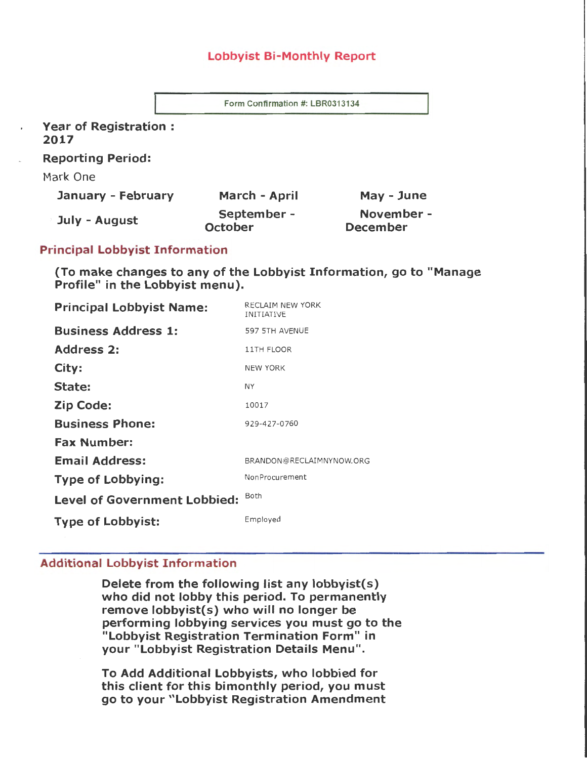# Lobbyist Bi-Monthly Report

Form Confirmation #: LBR0313134

Year of Registration : 2017

Reporting Period:

Mark One

| January - February | March - April                 | May - June                    |
|--------------------|-------------------------------|-------------------------------|
| July - August      | September -<br><b>October</b> | November -<br><b>December</b> |

# Principal Lobbyist Information

(To make changes to any of the Lobbyist Information, go to "Manage Profile" in the Lobbyist menu).

| <b>Principal Lobbyist Name:</b>     | RECLAIM NEW YORK<br><b>INITIATIVE</b> |
|-------------------------------------|---------------------------------------|
| <b>Business Address 1:</b>          | 597 5TH AVENUE                        |
| <b>Address 2:</b>                   | 11TH FLOOR                            |
| City:                               | <b>NEW YORK</b>                       |
| State:                              | NY                                    |
| <b>Zip Code:</b>                    | 10017                                 |
| <b>Business Phone:</b>              | 929-427-0760                          |
| <b>Fax Number:</b>                  |                                       |
| <b>Email Address:</b>               | BRANDON@RECLAIMNYNOW.ORG              |
| <b>Type of Lobbying:</b>            | NonProcurement                        |
| <b>Level of Government Lobbied:</b> | Both                                  |
| <b>Type of Lobbyist:</b>            | Employed                              |

# Additional Lobbyist Information

Delete from the following list any lobbyist(s) who did not lobby this period. To permanently remove lobbyist(s) who will no longer be performing lobbying services you must go to the "Lobbyist Registration Termination Form" in your "Lobbyist Registration Details Menu".

To Add Additional Lobbyists, who lobbied for this client for this bimonthly period, you must go to your "Lobbyist Registration Amendment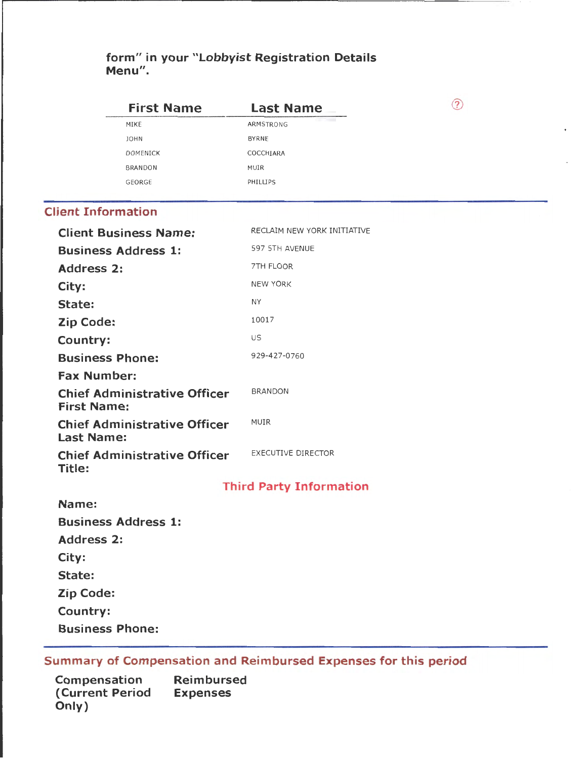# **form" in your "Lobbyist Registration Details Menu".**

| <b>First Name</b>                                         | <b>Last Name</b>               | ➀ |
|-----------------------------------------------------------|--------------------------------|---|
| MIKE                                                      | ARMSTRONG                      |   |
| JOHN                                                      | BYRNE                          |   |
| <b>DOMENICK</b>                                           | COCCHIARA                      |   |
| <b>BRANDON</b>                                            | MUIR                           |   |
| GEORGE                                                    | PHILLIPS                       |   |
| <b>Client Information</b>                                 |                                |   |
| <b>Client Business Name:</b>                              | RECLAIM NEW YORK INITIATIVE    |   |
| <b>Business Address 1:</b>                                | 597 5TH AVENUE                 |   |
| <b>Address 2:</b>                                         | 7TH FLOOR                      |   |
| City:                                                     | <b>NEW YORK</b>                |   |
| State:                                                    | <b>NY</b>                      |   |
| <b>Zip Code:</b>                                          | 10017                          |   |
| Country:                                                  | US                             |   |
| <b>Business Phone:</b>                                    | 929-427-0760                   |   |
| <b>Fax Number:</b>                                        |                                |   |
| <b>Chief Administrative Officer</b><br><b>First Name:</b> | <b>BRANDON</b>                 |   |
| <b>Chief Administrative Officer</b><br><b>Last Name:</b>  | MUIR                           |   |
| <b>Chief Administrative Officer</b><br>Title:             | <b>EXECUTIVE DIRECTOR</b>      |   |
|                                                           | <b>Third Party Information</b> |   |
| Name:                                                     |                                |   |
| <b>Business Address 1:</b>                                |                                |   |
| <b>Address 2:</b>                                         |                                |   |
| City:                                                     |                                |   |
| State:                                                    |                                |   |
| Zip Code:                                                 |                                |   |
| Country:                                                  |                                |   |
| <b>Business Phone:</b>                                    |                                |   |
|                                                           |                                |   |

# **Summary of Compensation and Reimbursed Expenses for this period**

| Compensation            | <b>Reimbursed</b> |
|-------------------------|-------------------|
| <b>(Current Period)</b> | <b>Expenses</b>   |
| Only)                   |                   |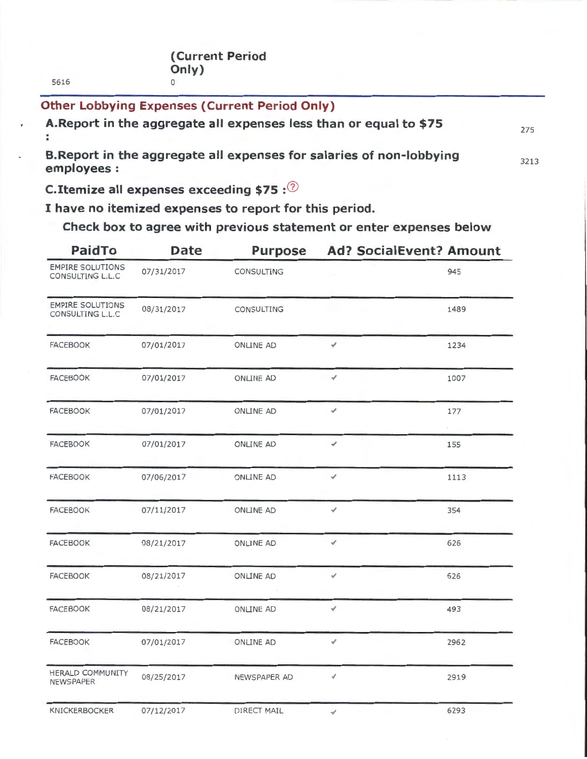5616

**Other Lobbying Expenses (Current Period Only) A.Report in the aggregate all expenses less than or equal to \$75 B.Report in the aggregate all expenses for salaries of non-lobbying employees:**  275 3213

**C.Itemize all expenses exceeding \$75** :6

**I have no itemized expenses to report for this period.** 

**Check box to agree with previous statement or enter expenses below** 

| <b>PaidTo</b>                               | <b>Date</b> | <b>Purpose</b>   | <b>Ad? SocialEvent? Amount</b> |                   |
|---------------------------------------------|-------------|------------------|--------------------------------|-------------------|
| <b>EMPIRE SOLUTIONS</b><br>CONSULTING L.L.C | 07/31/2017  | CONSULTING       |                                | 945               |
| <b>EMPIRE SOLUTIONS</b><br>CONSULTING L.L.C | 08/31/2017  | CONSULTING       |                                | 1489              |
| <b>FACEBOOK</b>                             | 07/01/2017  | <b>ONLINE AD</b> | ✔                              | 1234              |
| <b>FACEBOOK</b>                             | 07/01/2017  | <b>ONLINE AD</b> | ✔                              | 1007              |
| <b>FACEBOOK</b>                             | 07/01/2017  | <b>ONLINE AD</b> | ∢                              | 177<br>$\epsilon$ |
| <b>FACEBOOK</b>                             | 07/01/2017  | <b>ONLINE AD</b> | ⊀                              | 155               |
| <b>FACEBOOK</b>                             | 07/06/2017  | <b>ONLINE AD</b> | ✔                              | 1113              |
| <b>FACEBOOK</b>                             | 07/11/2017  | <b>ONLINE AD</b> | √                              | 354               |
| <b>FACEBOOK</b>                             | 08/21/2017  | <b>ONLINE AD</b> | v.                             | 626               |
| <b>FACEBOOK</b>                             | 08/21/2017  | <b>ONLINE AD</b> | ∢                              | 626               |
| <b>FACEBOOK</b>                             | 08/21/2017  | ONLINE AD        | ∢                              | 493               |
| <b>FACEBOOK</b>                             | 07/01/2017  | <b>ONLINE AD</b> | ✔                              | 2962              |
| HERALD COMMUNITY<br><b>NEWSPAPER</b>        | 08/25/2017  | NEWSPAPER AD     | v                              | 2919              |
| <b>KNICKERBOCKER</b>                        | 07/12/2017  | DIRECT MAIL      | ✔                              | 6293              |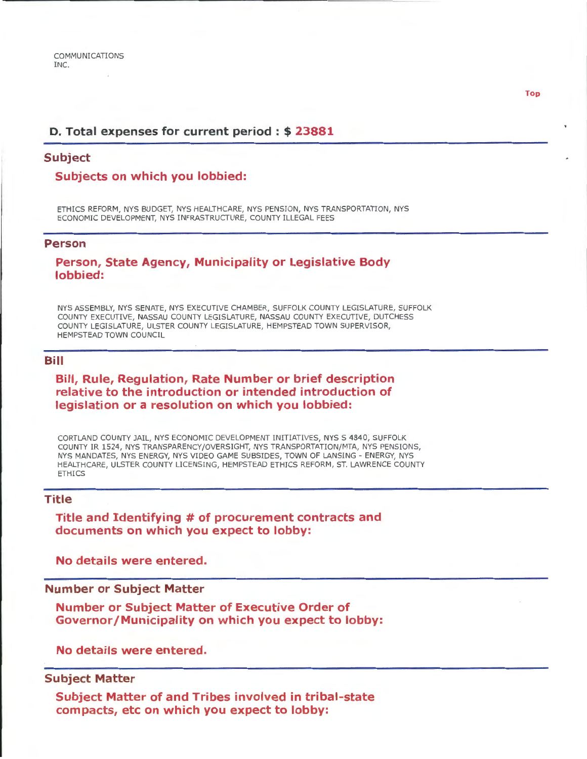## **D. Total expenses for current period** : \$ **23881**

## **Subject**

## **Subjects on which you lobbied:**

ETHICS REFORM, NYS BUDGET, NYS HEALTHCARE, NYS PENSION, NYS TRANSPORTATION, NYS ECONOMIC DEVELOPMENT, NYS INFRASTRUCTURE, COUNTY ILLEGAL FEES

#### **Person**

**Person, State Agency, Municipality or Legislative Body lobbied:** 

NYS ASSEMBLY, NYS SENATE, NYS EXECUTIVE CHAMBER, SUFFOLK COUNTY LEGISLATURE, SUFFOLK COUNTY EXECUTIVE, NASSAU COUNTY LEGISLATURE, NASSAU COUNTY EXECUTIVE, DUTCHESS COUNTY LEGISLATURE, ULSTER COUNTY LEGISLATURE, HEMPSTEAD TOWN SUPERVISOR, HEMPSTEAD TOWN COUNCIL

## **Bill**

## **Bill, Rule, Regulation, Rate Number or brief description relative to the introduction or intended introduction of legislation or a resolution on which you lobbied:**

CORTLAND COUNTY JAIL, NYS ECONOMIC DEVELOPMENT INITIATIVES, NYS S 4840, SUFFOLK COUNTY IR 1524, NYS TRANSPARENCY /OVERSIGHT, NYS TRANSPORTATION/MTA, NYS PENSIONS, NYS MANDATES, NYS ENERGY, NYS VIDEO GAME SUBSIDES, TOWN OF LANSING- ENERGY, NYS HEALTHCARE, ULSTER COUNTY LICENSING, HEMPSTEAD ETHICS REFORM, ST. LAWRENCE COUNTY ETHICS

## **Title**

**Title and Identifying # of procurement contracts and documents on which you expect to lobby:** 

**No details were entered.** 

## **Number or Subject Matter**

**Number or Subject Matter of Executive Order of Governor/Municipality on which you expect to lobby:** 

**No details were entered.** 

## **Subject Matter**

**Subject Matter of and Tribes involved in tribal-state compacts, etc on which you expect to lobby:** 

**Top**